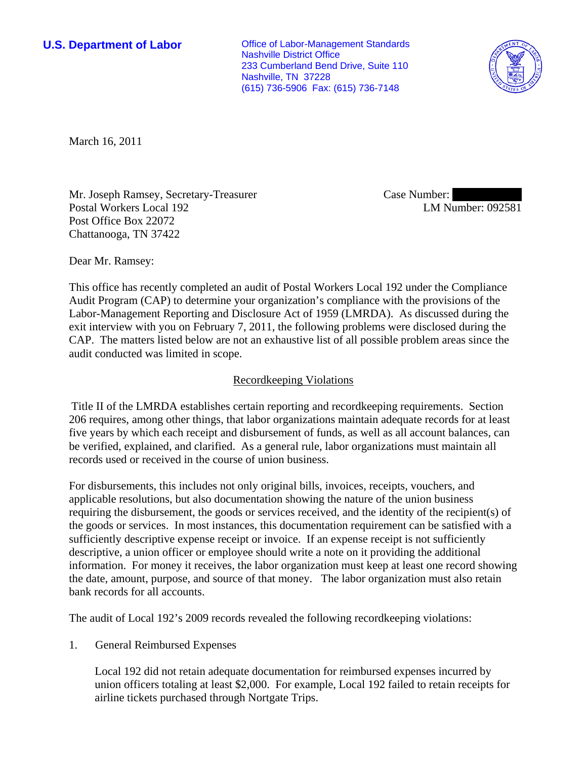**U.S. Department of Labor Conservative Conservative Conservative Conservative Conservative Conservative Conservative Conservative Conservative Conservative Conservative Conservative Conservative Conservative Conservative** Nashville District Office 233 Cumberland Bend Drive, Suite 110 Nashville, TN 37228 (615) 736-5906 Fax: (615) 736-7148



March 16, 2011

Mr. Joseph Ramsey, Secretary-Treasurer Postal Workers Local 192 Post Office Box 22072 Chattanooga, TN 37422

Case Number: LM Number: 092581

Dear Mr. Ramsey:

This office has recently completed an audit of Postal Workers Local 192 under the Compliance Audit Program (CAP) to determine your organization's compliance with the provisions of the Labor-Management Reporting and Disclosure Act of 1959 (LMRDA). As discussed during the exit interview with you on February 7, 2011, the following problems were disclosed during the CAP. The matters listed below are not an exhaustive list of all possible problem areas since the audit conducted was limited in scope.

## Recordkeeping Violations

Title II of the LMRDA establishes certain reporting and recordkeeping requirements. Section 206 requires, among other things, that labor organizations maintain adequate records for at least five years by which each receipt and disbursement of funds, as well as all account balances, can be verified, explained, and clarified. As a general rule, labor organizations must maintain all records used or received in the course of union business.

For disbursements, this includes not only original bills, invoices, receipts, vouchers, and applicable resolutions, but also documentation showing the nature of the union business requiring the disbursement, the goods or services received, and the identity of the recipient(s) of the goods or services. In most instances, this documentation requirement can be satisfied with a sufficiently descriptive expense receipt or invoice. If an expense receipt is not sufficiently descriptive, a union officer or employee should write a note on it providing the additional information. For money it receives, the labor organization must keep at least one record showing the date, amount, purpose, and source of that money. The labor organization must also retain bank records for all accounts.

The audit of Local 192's 2009 records revealed the following recordkeeping violations:

1. General Reimbursed Expenses

Local 192 did not retain adequate documentation for reimbursed expenses incurred by union officers totaling at least \$2,000. For example, Local 192 failed to retain receipts for airline tickets purchased through Nortgate Trips.